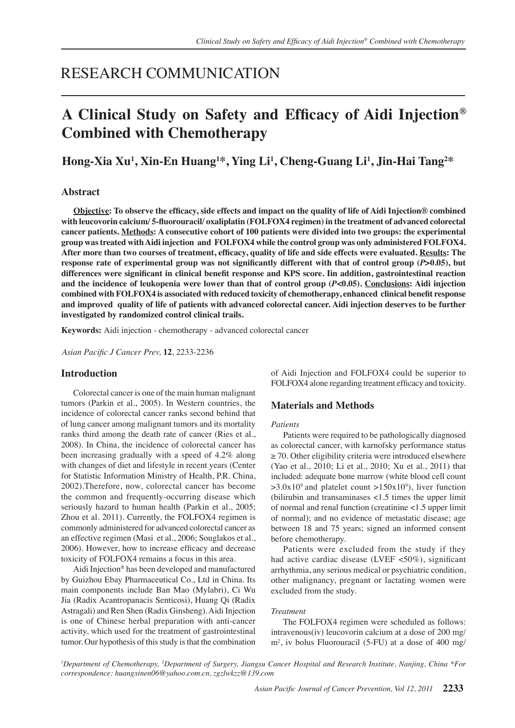## RESEARCH COMMUNICATION

# **A Clinical Study on Safety and Efficacy of Aidi Injection® Combined with Chemotherapy**

**Hong-Xia Xu<sup>1</sup> , Xin-En Huang<sup>1</sup> \*, Ying Li<sup>1</sup> , Cheng-Guang Li<sup>1</sup> , Jin-Hai Tang<sup>2</sup> \***

## **Abstract**

**Objective: To observe the efficacy, side effects and impact on the quality of life of Aidi Injection® combined with leucovorin calcium/ 5-fluorouracil/ oxaliplatin (FOLFOX4 regimen) in the treatment of advanced colorectal cancer patients. Methods: A consecutive cohort of 100 patients were divided into two groups: the experimental group was treated with Aidi injection and FOLFOX4 while the control group was only administered FOLFOX4. After more than two courses of treatment, efficacy, quality of life and side effects were evaluated. Results: The response rate of experimental group was not significantly different with that of control group (***P***>0.05), but differences were significant in clinical benefit response and KPS score. Iin addition, gastrointestinal reaction and the incidence of leukopenia were lower than that of control group (***P***<0.05). Conclusions: Aidi injection combined with FOLFOX4 is associated with reduced toxicity of chemotherapy, enhanced clinical benefit response and improved quality of life of patients with advanced colorectal cancer. Aidi injection deserves to be further investigated by randomized control clinical trails.** 

**Keywords:** Aidi injection - chemotherapy - advanced colorectal cancer

*Asian Pacific J Cancer Prev,* **12**, 2233-2236

## **Introduction**

Colorectal cancer is one of the main human malignant tumors (Parkin et al., 2005). In Western countries, the incidence of colorectal cancer ranks second behind that of lung cancer among malignant tumors and its mortality ranks third among the death rate of cancer (Ries et al., 2008). In China, the incidence of colorectal cancer has been increasing gradually with a speed of 4.2% along with changes of diet and lifestyle in recent years (Center for Statistic Information Ministry of Health, P.R. China, 2002).Therefore, now, colorectal cancer has become the common and frequently-occurring disease which seriously hazard to human health (Parkin et al., 2005; Zhou et al. 2011). Currently, the FOLFOX4 regimen is commonly administered for advanced colorectal cancer as an effective regimen (Masi et al., 2006; Souglakos et al., 2006). However, how to increase efficacy and decrease toxicity of FOLFOX4 remains a focus in this area.

Aidi Injection® has been developed and manufactured by Guizhou Ebay Pharmaceutical Co., Ltd in China. Its main components include Ban Mao (Mylabri), Ci Wu Jia (Radix Acantropanacis Senticosi), Huang Qi (Radix Astragali) and Ren Shen (Radix Ginsheng). Aidi Injection is one of Chinese herbal preparation with anti-cancer activity, which used for the treatment of gastrointestinal tumor. Our hypothesis of this study is that the combination

of Aidi Injection and FOLFOX4 could be superior to FOLFOX4 alone regarding treatment efficacy and toxicity.

## **Materials and Methods**

#### *Patients*

Patients were required to be pathologically diagnosed as colorectal cancer, with karnofsky performance status ≥ 70. Other eligibility criteria were introduced elsewhere (Yao et al., 2010; Li et al., 2010; Xu et al., 2011) that included: adequate bone marrow (white blood cell count  $>3.0x10^9$  and platelet count  $>150x10^9$ ), liver function (bilirubin and transaminases <1.5 times the upper limit of normal and renal function (creatinine <1.5 upper limit of normal); and no evidence of metastatic disease; age between 18 and 75 years; signed an informed consent before chemotherapy.

Patients were excluded from the study if they had active cardiac disease (LVEF  $<50\%$ ), significant arrhythmia, any serious medical or psychiatric condition, other malignancy, pregnant or lactating women were excluded from the study.

#### *Treatment*

The FOLFOX4 regimen were scheduled as follows: intravenous(iv) leucovorin calcium at a dose of 200 mg/ m2 , iv bolus Fluorouracil (5-FU) at a dose of 400 mg/

*1 Department of Chemotherapy, <sup>2</sup> Department of Surgery, Jiangsu Cancer Hospital and Research Institute, Nanjing, China \*For correspondence: huangxinen06@yahoo.com.cn, zgzlwkzz@139.com*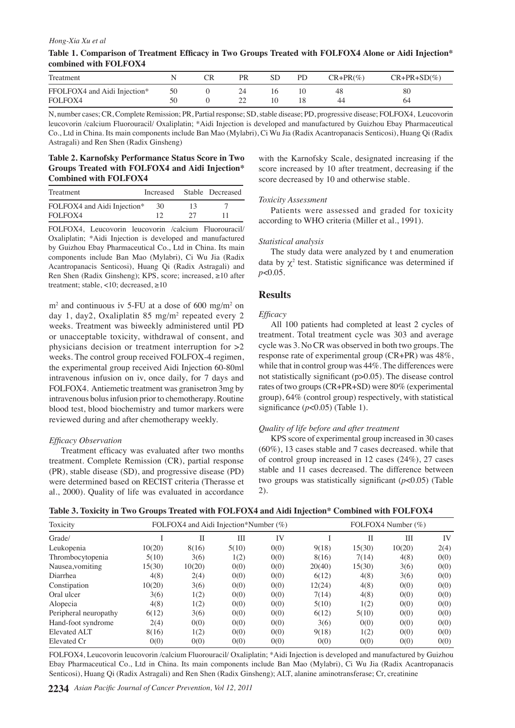#### *Hong-Xia Xu et al*

| Table 1. Comparison of Treatment Efficacy in Two Groups Treated with FOLFOX4 Alone or Aidi Injection* |  |
|-------------------------------------------------------------------------------------------------------|--|
| combined with FOLFOX4                                                                                 |  |

| Treatment                    |    | PR | PD | $CR+PR(\%)$ | $CR+PR+SD(\%)$ |
|------------------------------|----|----|----|-------------|----------------|
| FFOLFOX4 and Aidi Injection* | 50 |    |    | 48          | 80             |
| FOLFOX4                      |    |    |    | 44          | 04             |

N, number cases; CR, Complete Remission; PR, Partial response; SD, stable disease; PD, progressive disease; FOLFOX4, Leucovorin leucovorin /calcium Fluorouracil/ Oxaliplatin; ﹡Aidi Injection is developed and manufactured by Guizhou Ebay Pharmaceutical Co., Ltd in China. Its main components include Ban Mao (Mylabri), Ci Wu Jia (Radix Acantropanacis Senticosi), Huang Qi (Radix Astragali) and Ren Shen (Radix Ginsheng)

## **Table 2. Karnofsky Performance Status Score in Two Groups Treated with FOLFOX4 and Aidi Injection﹡ Combined with FOLFOX4**

| Treatment                   |    |    | Increased Stable Decreased |
|-----------------------------|----|----|----------------------------|
| FOLFOX4 and Aidi Injection* | 30 | 13 |                            |
| FOLFOX4                     | 12 | 27 |                            |

FOLFOX4, Leucovorin leucovorin /calcium Fluorouracil/ Oxaliplatin; ﹡Aidi Injection is developed and manufactured by Guizhou Ebay Pharmaceutical Co., Ltd in China. Its main components include Ban Mao (Mylabri), Ci Wu Jia (Radix Acantropanacis Senticosi), Huang Qi (Radix Astragali) and Ren Shen (Radix Ginsheng); KPS, score; increased, ≥10 after treatment; stable, <10; decreased, ≥10

 $m<sup>2</sup>$  and continuous iv 5-FU at a dose of 600 mg/m<sup>2</sup> on day 1, day2, Oxaliplatin 85 mg/m<sup>2</sup> repeated every 2 weeks. Treatment was biweekly administered until PD or unacceptable toxicity, withdrawal of consent, and physicians decision or treatment interruption for  $>2$ weeks. The control group received FOLFOX-4 regimen, the experimental group received Aidi Injection 60-80ml intravenous infusion on iv, once daily, for 7 days and FOLFOX4. Antiemetic treatment was granisetron 3mg by intravenous bolus infusion prior to chemotherapy. Routine blood test, blood biochemistry and tumor markers were reviewed during and after chemotherapy weekly.

#### *Efficacy Observation*

Treatment efficacy was evaluated after two months treatment. Complete Remission (CR), partial response (PR), stable disease (SD), and progressive disease (PD) were determined based on RECIST criteria (Therasse et al., 2000). Quality of life was evaluated in accordance

with the Karnofsky Scale, designated increasing if the score increased by 10 after treatment, decreasing if the score decreased by 10 and otherwise stable.

#### *Toxicity Assessment*

Patients were assessed and graded for toxicity according to WHO criteria (Miller et al., 1991).

#### *Statistical analysis*

The study data were analyzed by t and enumeration data by  $\chi^2$  test. Statistic significance was determined if *p*<0.05.

## **Results**

#### *Efficacy*

All 100 patients had completed at least 2 cycles of treatment. Total treatment cycle was 303 and average cycle was 3. No CR was observed in both two groups. The response rate of experimental group (CR+PR) was 48%, while that in control group was 44%. The differences were not statistically significant (p>0.05). The disease control rates of two groups (CR+PR+SD) were 80% (experimental group), 64% (control group) respectively, with statistical significance  $(p<0.05)$  (Table 1).

#### *Quality of life before and after treatment*

KPS score of experimental group increased in 30 cases (60%), 13 cases stable and 7 cases decreased. while that of control group increased in 12 cases (24%), 27 cases stable and 11 cases decreased. The difference between two groups was statistically significant (*p*<0.05) (Table 2).

| Table 3. Toxicity in Two Groups Treated with FOLFOX4 and Aidi Iniection* Combined with FOLFOX4 |  |  |  |
|------------------------------------------------------------------------------------------------|--|--|--|
|------------------------------------------------------------------------------------------------|--|--|--|

| Toxicity              | FOLFOX4 and Aidi Injection*Number $(\%)$ |        |       |      | FOLFOX4 Number (%) |        |        |      |
|-----------------------|------------------------------------------|--------|-------|------|--------------------|--------|--------|------|
| Grade/                |                                          | П      | Ш     | IV   |                    | Н      | IΙI    | IV   |
| Leukopenia            | 10(20)                                   | 8(16)  | 5(10) | 0(0) | 9(18)              | 15(30) | 10(20) | 2(4) |
| Thrombocytopenia      | 5(10)                                    | 3(6)   | 1(2)  | 0(0) | 8(16)              | 7(14)  | 4(8)   | 0(0) |
| Nausea, vomiting      | 15(30)                                   | 10(20) | 0(0)  | 0(0) | 20(40)             | 15(30) | 3(6)   | 0(0) |
| Diarrhea              | 4(8)                                     | 2(4)   | 0(0)  | 0(0) | 6(12)              | 4(8)   | 3(6)   | 0(0) |
| Constipation          | 10(20)                                   | 3(6)   | 0(0)  | 0(0) | 12(24)             | 4(8)   | 0(0)   | 0(0) |
| Oral ulcer            | 3(6)                                     | 1(2)   | 0(0)  | 0(0) | 7(14)              | 4(8)   | 0(0)   | 0(0) |
| Alopecia              | 4(8)                                     | 1(2)   | 0(0)  | 0(0) | 5(10)              | 1(2)   | 0(0)   | 0(0) |
| Peripheral neuropathy | 6(12)                                    | 3(6)   | 0(0)  | 0(0) | 6(12)              | 5(10)  | 0(0)   | 0(0) |
| Hand-foot syndrome    | 2(4)                                     | 0(0)   | 0(0)  | 0(0) | 3(6)               | 0(0)   | 0(0)   | 0(0) |
| <b>Elevated ALT</b>   | 8(16)                                    | 1(2)   | 0(0)  | 0(0) | 9(18)              | 1(2)   | 0(0)   | 0(0) |
| Elevated Cr           | 0(0)                                     | 0(0)   | 0(0)  | 0(0) | 0(0)               | 0(0)   | 0(0)   | 0(0) |

FOLFOX4, Leucovorin leucovorin /calcium Fluorouracil/ Oxaliplatin; ﹡Aidi Injection is developed and manufactured by Guizhou Ebay Pharmaceutical Co., Ltd in China. Its main components include Ban Mao (Mylabri), Ci Wu Jia (Radix Acantropanacis Senticosi), Huang Qi (Radix Astragali) and Ren Shen (Radix Ginsheng); ALT, alanine aminotransferase; Cr, creatinine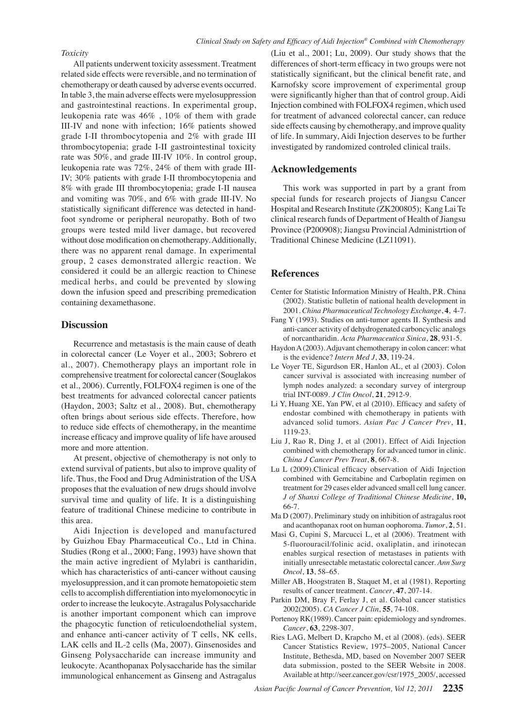#### *Toxicity*

All patients underwent toxicity assessment. Treatment related side effects were reversible, and no termination of chemotherapy or death caused by adverse events occurred. In table 3, the main adverse effects were myelosuppression and gastrointestinal reactions. In experimental group, leukopenia rate was 46% , 10% of them with grade III-IV and none with infection; 16% patients showed grade I-II thrombocytopenia and 2% with grade III thrombocytopenia; grade I-II gastrointestinal toxicity rate was 50%, and grade III-IV 10%. In control group, leukopenia rate was 72%, 24% of them with grade III-IV; 30% patients with grade I-II thrombocytopenia and 8% with grade III thrombocytopenia; grade I-II nausea and vomiting was 70%, and 6% with grade III-IV. No statistically significant difference was detected in handfoot syndrome or peripheral neuropathy. Both of two groups were tested mild liver damage, but recovered without dose modification on chemotherapy. Additionally, there was no apparent renal damage. In experimental group, 2 cases demonstrated allergic reaction. We considered it could be an allergic reaction to Chinese medical herbs, and could be prevented by slowing down the infusion speed and prescribing premedication containing dexamethasone.

## **Discussion**

Recurrence and metastasis is the main cause of death in colorectal cancer (Le Voyer et al., 2003; Sobrero et al., 2007). Chemotherapy plays an important role in comprehensive treatment for colorectal cancer (Souglakos et al., 2006). Currently, FOLFOX4 regimen is one of the best treatments for advanced colorectal cancer patients (Haydon, 2003; Saltz et al., 2008). But, chemotherapy often brings about serious side effects. Therefore, how to reduce side effects of chemotherapy, in the meantime increase efficacy and improve quality of life have aroused more and more attention.

At present, objective of chemotherapy is not only to extend survival of patients, but also to improve quality of life. Thus, the Food and Drug Administration of the USA proposes that the evaluation of new drugs should involve survival time and quality of life. It is a distinguishing feature of traditional Chinese medicine to contribute in this area.

Aidi Injection is developed and manufactured by Guizhou Ebay Pharmaceutical Co., Ltd in China. Studies (Rong et al., 2000; Fang, 1993) have shown that the main active ingredient of Mylabri is cantharidin, which has characteristics of anti-cancer without causing myelosuppression, and it can promote hematopoietic stem cells to accomplish differentiation into myelomonocytic in order to increase the leukocyte. Astragalus Polysaccharide is another important component which can improve the phagocytic function of reticuloendothelial system, and enhance anti-cancer activity of T cells, NK cells, LAK cells and IL-2 cells (Ma, 2007). Ginsenosides and Ginseng Polysaccharide can increase immunity and leukocyte. Acanthopanax Polysaccharide has the similar immunological enhancement as Ginseng and Astragalus

(Liu et al., 2001; Lu, 2009). Our study shows that the differences of short-term efficacy in two groups were not statistically significant, but the clinical benefit rate, and Karnofsky score improvement of experimental group were significantly higher than that of control group. Aidi Injection combined with FOLFOX4 regimen, which used for treatment of advanced colorectal cancer, can reduce side effects causing by chemotherapy, and improve quality of life. In summary, Aidi Injection deserves to be further investigated by randomized controled clinical trails.

## **Acknowledgements**

This work was supported in part by a grant from special funds for research projects of Jiangsu Cancer Hospital and Research Institute (ZK200805); Kang Lai Te clinical research funds of Department of Health of Jiangsu Province (P200908); Jiangsu Provincial Administrtion of Traditional Chinese Medicine (LZ11091).

#### **References**

- Center for Statistic Information Ministry of Health, P.R. China (2002). Statistic bulletin of national health development in 2001. *China Pharmaceutical Technology Exchange*, **4**, 4-7.
- Fang Y (1993). Studies on anti-tumor agents Ⅱ. Synthesis and anti-cancer activity of dehydrogenated carboncyclic analogs of norcantharidin. *Acta Pharmaceutica Sinica*, **28**, 931-5.
- Haydon A (2003). Adjuvant chemotherapy in colon cancer: what is the evidence? *Intern Med J*, **33**, 119-24.
- Le Voyer TE, Sigurdson ER, Hanlon AL, et al (2003). Colon cancer survival is associated with increasing number of lymph nodes analyzed: a secondary survey of intergroup trial INT-0089. *J Clin Oncol*, **21**, 2912-9.
- Li Y, Huang XE, Yan PW, et al (2010). Efficacy and safety of endostar combined with chemotherapy in patients with advanced solid tumors. *Asian Pac J Cancer Prev*, **11**, 1119-23.
- Liu J, Rao R, Ding J, et al (2001). Effect of Aidi Injection combined with chemotherapy for advanced tumor in clinic. *China J Cancer Prev Treat*, **8**, 667-8.
- Lu L (2009).Clinical efficacy observation of Aidi Injection combined with Gemcitabine and Carboplatin regimen on treatment for 29 cases elder advanced small cell lung cancer. *J of Shanxi College of Traditional Chinese Medicine*, **10,**  66-7.
- Ma D (2007). Preliminary study on inhibition of astragalus root and acanthopanax root on human oophoroma. *Tumor*, **2**, 51.
- Masi G, Cupini S, Marcucci L, et al (2006). Treatment with 5-fluorouracil/folinic acid, oxaliplatin, and irinotecan enables surgical resection of metastases in patients with initially unresectable metastatic colorectal cancer. *Ann Surg Oncol*, **13**, 58–65.
- Miller AB, Hoogstraten B, Staquet M, et al (1981). Reporting results of cancer treatment. *Cancer*, **47**, 207-14.
- Parkin DM, Bray F, Ferlay J, et al. Global cancer statistics 2002(2005). *CA Cancer J Clin*, **55**, 74-108.
- Portenoy RK(1989). Cancer pain: epidemiology and syndromes. *Cancer*, **63**, 2298-307.
- Ries LAG, Melbert D, Krapcho M, et al (2008). (eds). SEER Cancer Statistics Review, 1975–2005, National Cancer Institute, Bethesda, MD, based on November 2007 SEER data submission, posted to the SEER Website in 2008. Available at http://seer.cancer.gov/csr/1975\_2005/, accessed